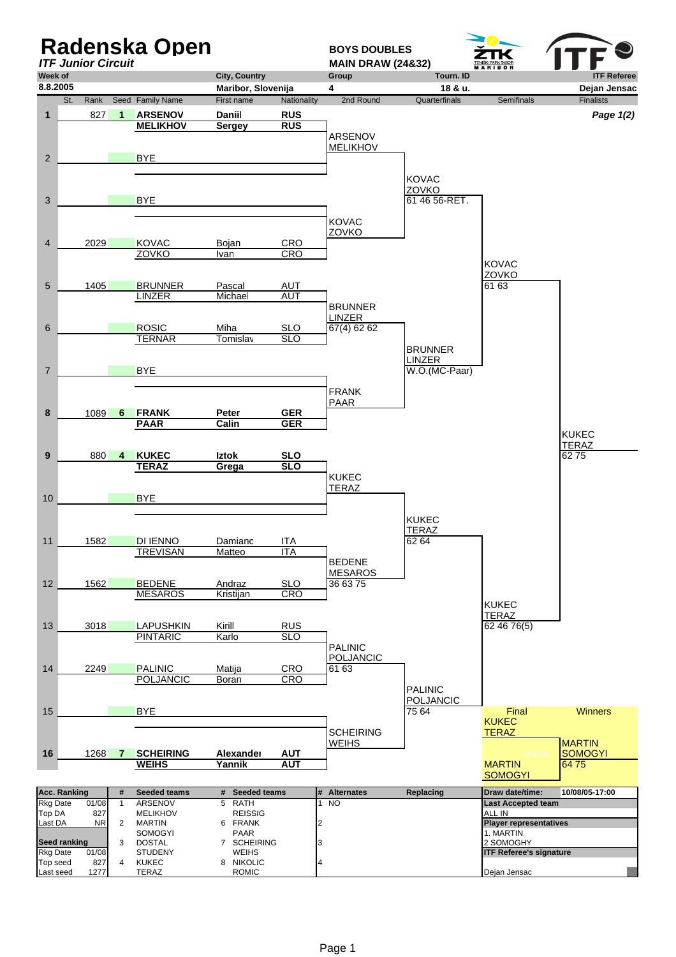